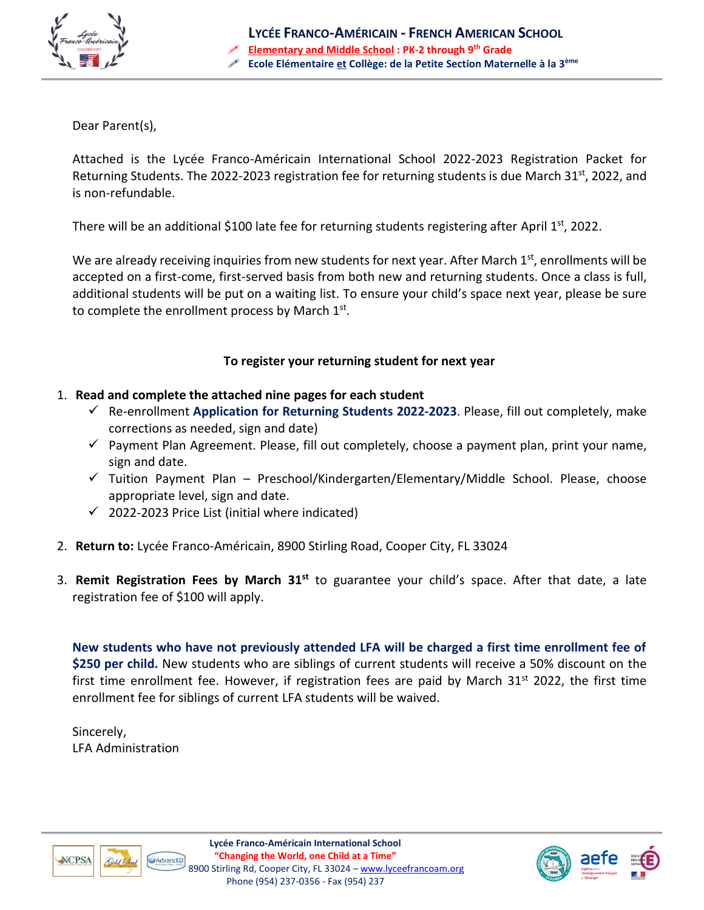

Dear Parent(s),

Attached is the Lycée Franco-Américain International School 2022-2023 Registration Packet for Returning Students. The 2022-2023 registration fee for returning students is due March 31<sup>st</sup>, 2022, and is non-refundable.

There will be an additional \$100 late fee for returning students registering after April 1st, 2022.

We are already receiving inquiries from new students for next year. After March  $1<sup>st</sup>$ , enrollments will be accepted on a first-come, first-served basis from both new and returning students. Once a class is full, additional students will be put on a waiting list. To ensure your child's space next year, please be sure to complete the enrollment process by March  $1<sup>st</sup>$ .

# **To register your returning student for next year**

- 1. **Read and complete the attached nine pages for each student**
	- ✓ Re-enrollment **Application for Returning Students 2022-2023**. Please, fill out completely, make corrections as needed, sign and date)
	- $\checkmark$  Payment Plan Agreement. Please, fill out completely, choose a payment plan, print your name, sign and date.
	- ✓ Tuition Payment Plan Preschool/Kindergarten/Elementary/Middle School. Please, choose appropriate level, sign and date.
	- $\checkmark$  2022-2023 Price List (initial where indicated)
- 2. **Return to:** Lycée Franco-Américain, 8900 Stirling Road, Cooper City, FL 33024
- 3. Remit Registration Fees by March 31<sup>st</sup> to guarantee your child's space. After that date, a late registration fee of \$100 will apply.

**New students who have not previously attended LFA will be charged a first time enrollment fee of \$250 per child.** New students who are siblings of current students will receive a 50% discount on the first time enrollment fee. However, if registration fees are paid by March 31<sup>st</sup> 2022, the first time enrollment fee for siblings of current LFA students will be waived.

Sincerely, LFA Administration





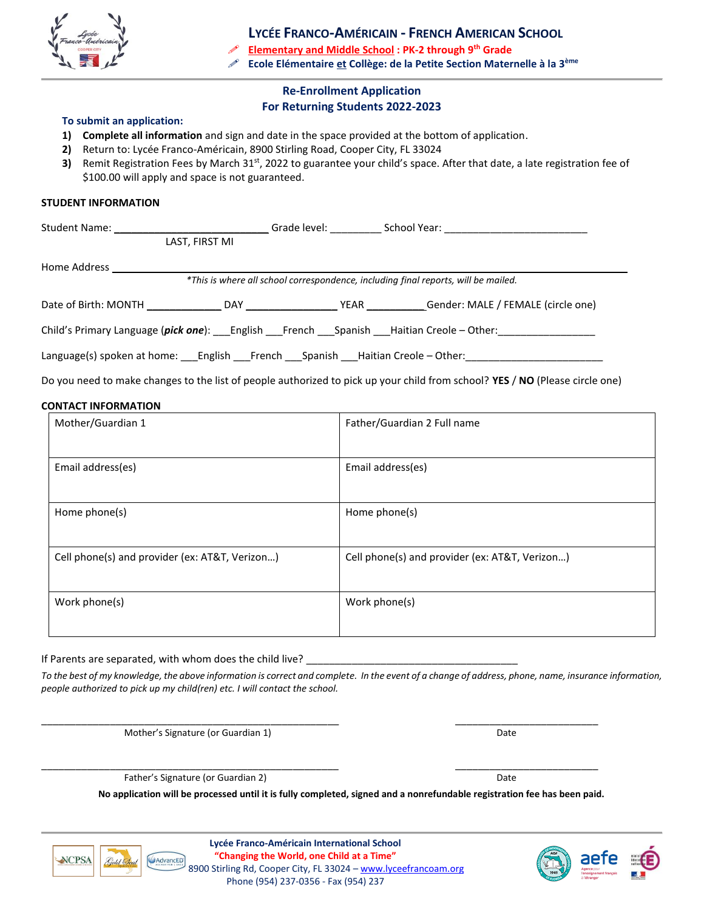

**LYCÉE FRANCO-AMÉRICAIN - FRENCH AMERICAN SCHOOL**

**Elementary and Middle School : PK-2 through 9th Grade**

**Ecole Elémentaire et Collège: de la Petite Section Maternelle à la 3ème**

#### **Re-Enrollment Application For Returning Students 2022-2023**

#### **To submit an application:**

- **1) Complete all information** and sign and date in the space provided at the bottom of application.
- **2)** Return to: Lycée Franco-Américain, 8900 Stirling Road, Cooper City, FL 33024
- 3) Remit Registration Fees by March 31<sup>st</sup>, 2022 to guarantee your child's space. After that date, a late registration fee of \$100.00 will apply and space is not guaranteed.

#### **STUDENT INFORMATION**

| Student Name:                                                                               |                | Grade level: | School Year:                                                                       |  |
|---------------------------------------------------------------------------------------------|----------------|--------------|------------------------------------------------------------------------------------|--|
|                                                                                             | LAST, FIRST MI |              |                                                                                    |  |
| Home Address                                                                                |                |              |                                                                                    |  |
|                                                                                             |                |              | *This is where all school correspondence, including final reports, will be mailed. |  |
|                                                                                             |                | YEAR         | Gender: MALE / FEMALE (circle one)                                                 |  |
| Child's Primary Language (pick one): English French Spanish Haitian Creole – Other:         |                |              |                                                                                    |  |
| Language(s) spoken at home: ____English ____French ____Spanish ____Haitian Creole - Other:_ |                |              |                                                                                    |  |

Do you need to make changes to the list of people authorized to pick up your child from school? **YES** / **NO** (Please circle one)

#### **CONTACT INFORMATION**

| Mother/Guardian 1                              | Father/Guardian 2 Full name                    |
|------------------------------------------------|------------------------------------------------|
| Email address(es)                              | Email address(es)                              |
| Home phone(s)                                  | Home phone(s)                                  |
| Cell phone(s) and provider (ex: AT&T, Verizon) | Cell phone(s) and provider (ex: AT&T, Verizon) |
| Work phone(s)                                  | Work phone(s)                                  |

#### If Parents are separated, with whom does the child live?

*To the best of my knowledge, the above information is correct and complete. In the event of a change of address, phone, name, insurance information, people authorized to pick up my child(ren) etc. I will contact the school.*

Mother's Signature (or Guardian 1) Date and the United States of Date and Date and Date and Date and Date and Date and Date and Date and Date and Date and Date and Date and Date and Date and Date and Date and Date and Date

Father's Signature (or Guardian 2) Date and the Second Library of Date and Date and Date and Date and Date and Date and Date and Date and Date and Date and Date and Date and Date and Date and Date and Date and Date and Dat

**No application will be processed until it is fully completed, signed and a nonrefundable registration fee has been paid.**



**Lycée Franco-Américain International School "Changing the World, one Child at a Time"** 8900 Stirling Rd, Cooper City, FL 33024 - [www.lyceefrancoam.org](http://www.lyceefrancoam.org/) Phone (954) 237-0356 - Fax (954) 237

\_\_\_\_\_\_\_\_\_\_\_\_\_\_\_\_\_\_\_\_\_\_\_\_\_\_\_\_\_\_\_\_\_\_\_\_\_\_\_\_\_\_\_\_\_\_\_\_\_\_\_\_ \_\_\_\_\_\_\_\_\_\_\_\_\_\_\_\_\_\_\_\_\_\_\_\_\_

\_\_\_\_\_\_\_\_\_\_\_\_\_\_\_\_\_\_\_\_\_\_\_\_\_\_\_\_\_\_\_\_\_\_\_\_\_\_\_\_\_\_\_\_\_\_\_\_\_\_\_\_ \_\_\_\_\_\_\_\_\_\_\_\_\_\_\_\_\_\_\_\_\_\_\_\_\_

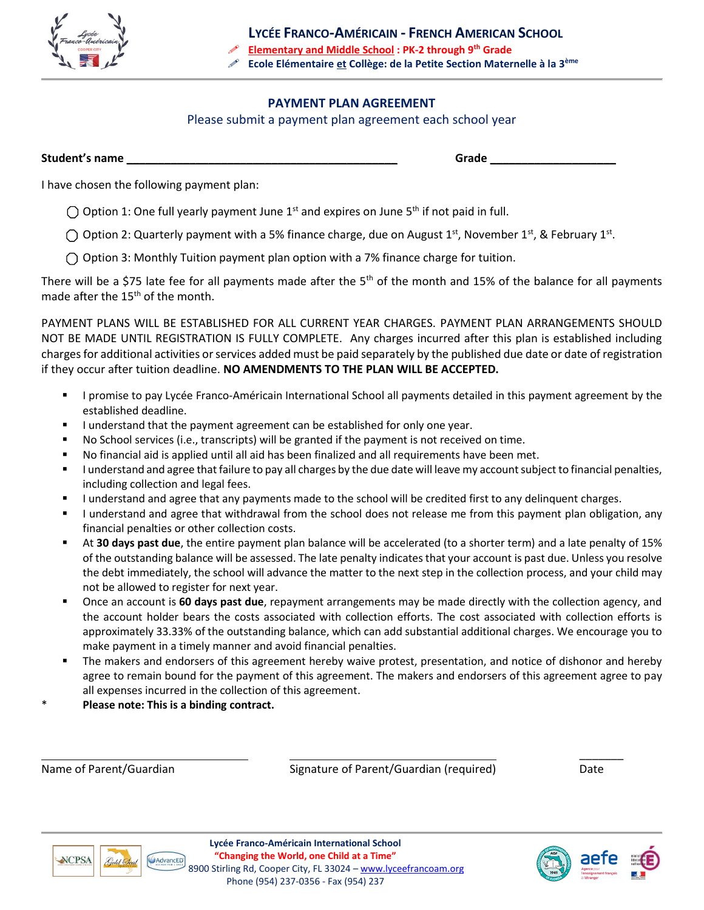

## **PAYMENT PLAN AGREEMENT**

Please submit a payment plan agreement each school year

**Student's name \_\_\_\_\_\_\_\_\_\_\_\_\_\_\_\_\_\_\_\_\_\_\_\_\_\_\_\_\_\_\_\_\_\_\_\_\_\_\_\_\_\_\_ Grade \_\_\_\_\_\_\_\_\_\_\_\_\_\_\_\_\_\_\_\_**

I have chosen the following payment plan:

 $\bigcap$  Option 1: One full yearly payment June 1<sup>st</sup> and expires on June 5<sup>th</sup> if not paid in full.

Option 2: Quarterly payment with a 5% finance charge, due on August 1<sup>st</sup>, November 1<sup>st</sup>, & February 1<sup>st</sup>.

 $\bigcap$  Option 3: Monthly Tuition payment plan option with a 7% finance charge for tuition.

There will be a \$75 late fee for all payments made after the  $5<sup>th</sup>$  of the month and 15% of the balance for all payments made after the  $15<sup>th</sup>$  of the month.

PAYMENT PLANS WILL BE ESTABLISHED FOR ALL CURRENT YEAR CHARGES. PAYMENT PLAN ARRANGEMENTS SHOULD NOT BE MADE UNTIL REGISTRATION IS FULLY COMPLETE.Any charges incurred after this plan is established including charges for additional activities or services added must be paid separately by the published due date or date of registration if they occur after tuition deadline. **NO AMENDMENTS TO THE PLAN WILL BE ACCEPTED.**

- **EXECT** I promise to pay Lycée Franco-Américain International School all payments detailed in this payment agreement by the established deadline.
- I understand that the payment agreement can be established for only one year.
- No School services (i.e., transcripts) will be granted if the payment is not received on time.
- No financial aid is applied until all aid has been finalized and all requirements have been met.
- I understand and agree that failure to pay all charges by the due date will leave my account subject to financial penalties, including collection and legal fees.
- I understand and agree that any payments made to the school will be credited first to any delinquent charges.
- I understand and agree that withdrawal from the school does not release me from this payment plan obligation, any financial penalties or other collection costs.
- At **30 days past due**, the entire payment plan balance will be accelerated (to a shorter term) and a late penalty of 15% of the outstanding balance will be assessed. The late penalty indicates that your account is past due. Unless you resolve the debt immediately, the school will advance the matter to the next step in the collection process, and your child may not be allowed to register for next year.
- Once an account is **60 days past due**, repayment arrangements may be made directly with the collection agency, and the account holder bears the costs associated with collection efforts. The cost associated with collection efforts is approximately 33.33% of the outstanding balance, which can add substantial additional charges. We encourage you to make payment in a timely manner and avoid financial penalties.
- The makers and endorsers of this agreement hereby waive protest, presentation, and notice of dishonor and hereby agree to remain bound for the payment of this agreement. The makers and endorsers of this agreement agree to pay all expenses incurred in the collection of this agreement.
- \* **Please note: This is a binding contract.**

Name of Parent/Guardian The Signature of Parent/Guardian (required) Date

 $\overline{\phantom{a}}$ 



**Lycée Franco-Américain International School "Changing the World, one Child at a Time"** 8900 Stirling Rd, Cooper City, FL 33024 - [www.lyceefrancoam.org](http://www.lyceefrancoam.org/) Phone (954) 237-0356 - Fax (954) 237

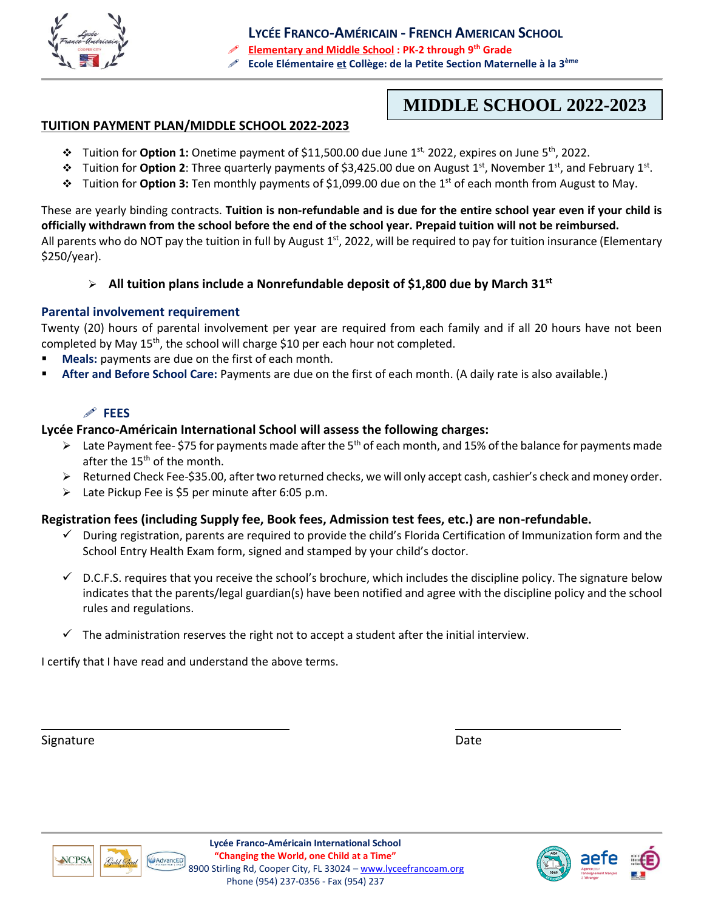

**MIDDLE SCHOOL 2022-2023**

### **TUITION PAYMENT PLAN/MIDDLE SCHOOL 2022-2023**

- ❖ Tuition for **Option 1:** Onetime payment of \$11,500.00 due June 1st, 2022, expires on June 5th, 2022.
- ❖ Tuition for **Option 2**: Three quarterly payments of \$3,425.00 due on August 1st, November 1st, and February 1st .
- ❖ Tuition for **Option 3:** Ten monthly payments of \$1,099.00 due on the 1st of each month from August to May.

These are yearly binding contracts. **Tuition is non-refundable and is due for the entire school year even if your child is officially withdrawn from the school before the end of the school year. Prepaid tuition will not be reimbursed.** All parents who do NOT pay the tuition in full by August 1<sup>st</sup>, 2022, will be required to pay for tuition insurance (Elementary \$250/year).

➢ **All tuition plans include a Nonrefundable deposit of \$1,800 due by March 31 st**

#### **Parental involvement requirement**

Twenty (20) hours of parental involvement per year are required from each family and if all 20 hours have not been completed by May 15<sup>th</sup>, the school will charge \$10 per each hour not completed.

- Meals: payments are due on the first of each month.
- **After and Before School Care:** Payments are due on the first of each month. (A daily rate is also available.)

# **FEES**

#### **Lycée Franco-Américain International School will assess the following charges:**

- $\triangleright$  Late Payment fee- \$75 for payments made after the 5<sup>th</sup> of each month, and 15% of the balance for payments made after the 15<sup>th</sup> of the month.
- ➢ Returned Check Fee-\$35.00, after two returned checks, we will only accept cash, cashier's check and money order.
- ➢ Late Pickup Fee is \$5 per minute after 6:05 p.m.

#### **Registration fees (including Supply fee, Book fees, Admission test fees, etc.) are non-refundable.**

- $\checkmark$  During registration, parents are required to provide the child's Florida Certification of Immunization form and the School Entry Health Exam form, signed and stamped by your child's doctor.
- $\checkmark$  D.C.F.S. requires that you receive the school's brochure, which includes the discipline policy. The signature below indicates that the parents/legal guardian(s) have been notified and agree with the discipline policy and the school rules and regulations.
- $\checkmark$  The administration reserves the right not to accept a student after the initial interview.

I certify that I have read and understand the above terms.

Signature Date Date of the Date of the Date of the Date of the Date of the Date of the Date of the Date of the



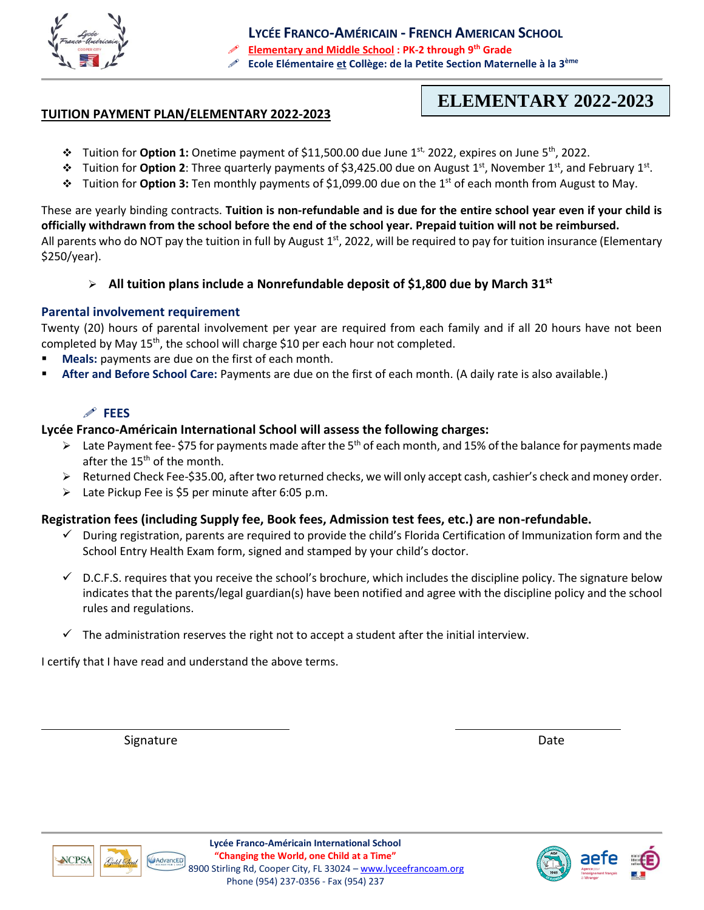

**LYCÉE FRANCO-AMÉRICAIN - FRENCH AMERICAN SCHOOL Elementary and Middle School : PK-2 through 9th Grade Ecole Elémentaire et Collège: de la Petite Section Maternelle à la 3ème**

#### **TUITION PAYMENT PLAN/ELEMENTARY 2022-2023**

# **ELEMENTARY 2022-2023**

- ❖ Tuition for **Option 1:** Onetime payment of \$11,500.00 due June 1st, 2022, expires on June 5th, 2022.
- ❖ Tuition for **Option 2**: Three quarterly payments of \$3,425.00 due on August 1st, November 1st, and February 1st .
- ❖ Tuition for **Option 3:** Ten monthly payments of \$1,099.00 due on the 1st of each month from August to May.

These are yearly binding contracts. **Tuition is non-refundable and is due for the entire school year even if your child is officially withdrawn from the school before the end of the school year. Prepaid tuition will not be reimbursed.** All parents who do NOT pay the tuition in full by August 1<sup>st</sup>, 2022, will be required to pay for tuition insurance (Elementary \$250/year).

➢ **All tuition plans include a Nonrefundable deposit of \$1,800 due by March 31 st**

#### **Parental involvement requirement**

Twenty (20) hours of parental involvement per year are required from each family and if all 20 hours have not been completed by May 15<sup>th</sup>, the school will charge \$10 per each hour not completed.

- Meals: payments are due on the first of each month.
- **After and Before School Care:** Payments are due on the first of each month. (A daily rate is also available.)

# **FEES**

#### **Lycée Franco-Américain International School will assess the following charges:**

- $\triangleright$  Late Payment fee- \$75 for payments made after the 5<sup>th</sup> of each month, and 15% of the balance for payments made after the 15<sup>th</sup> of the month.
- ➢ Returned Check Fee-\$35.00, after two returned checks, we will only accept cash, cashier's check and money order.
- ➢ Late Pickup Fee is \$5 per minute after 6:05 p.m.

#### **Registration fees (including Supply fee, Book fees, Admission test fees, etc.) are non-refundable.**

- $\checkmark$  During registration, parents are required to provide the child's Florida Certification of Immunization form and the School Entry Health Exam form, signed and stamped by your child's doctor.
- $\checkmark$  D.C.F.S. requires that you receive the school's brochure, which includes the discipline policy. The signature below indicates that the parents/legal guardian(s) have been notified and agree with the discipline policy and the school rules and regulations.
- $\checkmark$  The administration reserves the right not to accept a student after the initial interview.

I certify that I have read and understand the above terms.

Signature Date Date of the Date of the Date of the Date of the Date of the Date of the Date of the Date of the Date of the Date of the Date of the Date of the Date of the Date of the Date of the Date of the Date of the Dat





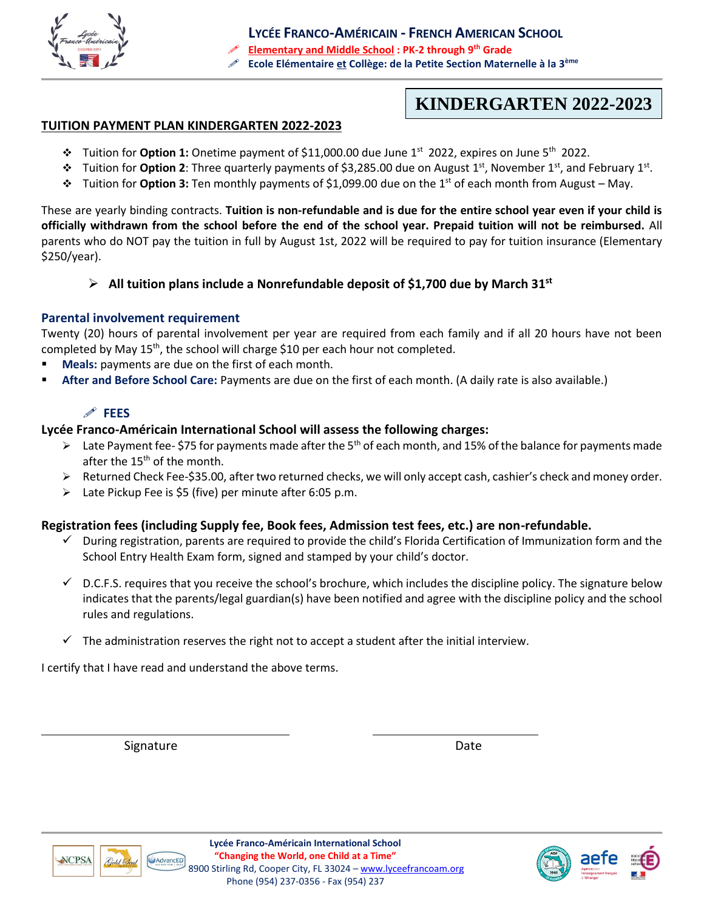

**KINDERGARTEN 2022-2023**

#### **TUITION PAYMENT PLAN KINDERGARTEN 2022-2023**

- ❖ Tuition for **Option 1:** Onetime payment of \$11,000.00 due June 1st 2022, expires on June 5th 2022.
- ❖ Tuition for **Option 2**: Three quarterly payments of \$3,285.00 due on August 1st, November 1st, and February 1st .
- ❖ Tuition for **Option 3:** Ten monthly payments of \$1,099.00 due on the 1st of each month from August May.

These are yearly binding contracts. **Tuition is non-refundable and is due for the entire school year even if your child is officially withdrawn from the school before the end of the school year. Prepaid tuition will not be reimbursed.** All parents who do NOT pay the tuition in full by August 1st, 2022 will be required to pay for tuition insurance (Elementary \$250/year).

## ➢ **All tuition plans include a Nonrefundable deposit of \$1,700 due by March 31 st**

## **Parental involvement requirement**

Twenty (20) hours of parental involvement per year are required from each family and if all 20 hours have not been completed by May  $15<sup>th</sup>$ , the school will charge \$10 per each hour not completed.

- **Meals:** payments are due on the first of each month.
- **After and Before School Care:** Payments are due on the first of each month. (A daily rate is also available.)

# **FEES**

## **Lycée Franco-Américain International School will assess the following charges:**

- $\triangleright$  Late Payment fee- \$75 for payments made after the 5<sup>th</sup> of each month, and 15% of the balance for payments made after the 15<sup>th</sup> of the month.
- ➢ Returned Check Fee-\$35.00, after two returned checks, we will only accept cash, cashier's check and money order.
- ➢ Late Pickup Fee is \$5 (five) per minute after 6:05 p.m.

#### **Registration fees (including Supply fee, Book fees, Admission test fees, etc.) are non-refundable.**

- ✓ During registration, parents are required to provide the child's Florida Certification of Immunization form and the School Entry Health Exam form, signed and stamped by your child's doctor.
- $\checkmark$  D.C.F.S. requires that you receive the school's brochure, which includes the discipline policy. The signature below indicates that the parents/legal guardian(s) have been notified and agree with the discipline policy and the school rules and regulations.
- $\checkmark$  The administration reserves the right not to accept a student after the initial interview.

I certify that I have read and understand the above terms.

Signature Date Date



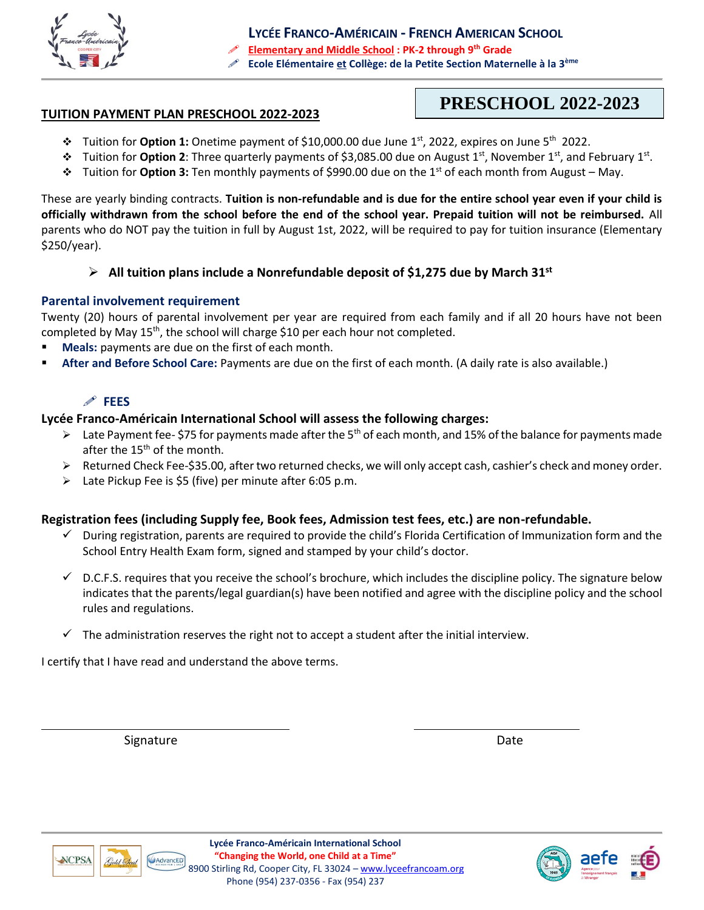

**LYCÉE FRANCO-AMÉRICAIN - FRENCH AMERICAN SCHOOL Elementary and Middle School : PK-2 through 9th Grade Ecole Elémentaire et Collège: de la Petite Section Maternelle à la 3ème**

#### **TUITION PAYMENT PLAN PRESCHOOL 2022-2023**

# **PRESCHOOL 2022-2023**

- ❖ Tuition for **Option 1:** Onetime payment of \$10,000.00 due June 1st , 2022, expires on June 5th 2022.
- ❖ Tuition for **Option 2**: Three quarterly payments of \$3,085.00 due on August 1st, November 1st, and February 1st .
- ❖ Tuition for **Option 3:** Ten monthly payments of \$990.00 due on the 1st of each month from August May.

These are yearly binding contracts. **Tuition is non-refundable and is due for the entire school year even if your child is officially withdrawn from the school before the end of the school year. Prepaid tuition will not be reimbursed.** All parents who do NOT pay the tuition in full by August 1st, 2022, will be required to pay for tuition insurance (Elementary \$250/year).

#### ➢ **All tuition plans include a Nonrefundable deposit of \$1,275 due by March 31 st**

#### **Parental involvement requirement**

Twenty (20) hours of parental involvement per year are required from each family and if all 20 hours have not been completed by May 15<sup>th</sup>, the school will charge \$10 per each hour not completed.

- **Meals:** payments are due on the first of each month.
- **After and Before School Care:** Payments are due on the first of each month. (A daily rate is also available.)

#### **FEES**

#### **Lycée Franco-Américain International School will assess the following charges:**

- $\triangleright$  Late Payment fee- \$75 for payments made after the 5<sup>th</sup> of each month, and 15% of the balance for payments made after the 15<sup>th</sup> of the month.
- ➢ Returned Check Fee-\$35.00, after two returned checks, we will only accept cash, cashier's check and money order.
- ➢ Late Pickup Fee is \$5 (five) per minute after 6:05 p.m.

#### **Registration fees (including Supply fee, Book fees, Admission test fees, etc.) are non-refundable.**

- $\checkmark$  During registration, parents are required to provide the child's Florida Certification of Immunization form and the School Entry Health Exam form, signed and stamped by your child's doctor.
- $\checkmark$  D.C.F.S. requires that you receive the school's brochure, which includes the discipline policy. The signature below indicates that the parents/legal guardian(s) have been notified and agree with the discipline policy and the school rules and regulations.
- $\checkmark$  The administration reserves the right not to accept a student after the initial interview.

I certify that I have read and understand the above terms.

Signature Date Date Date Date Date Date